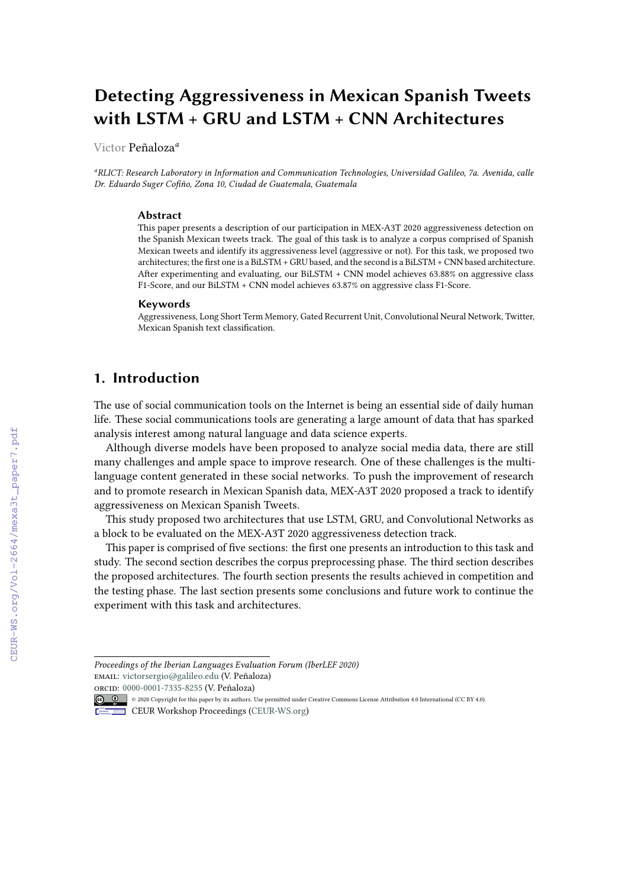# **Detecting Aggressiveness in Mexican Spanish Tweets with LSTM + GRU and LSTM + CNN Architectures**

Victor Peñaloza*<sup>a</sup>*

*<sup>a</sup>RLICT: Research Laboratory in Information and Communication Technologies, Universidad Galileo, 7a. Avenida, calle Dr. Eduardo Suger Cofiño, Zona 10, Ciudad de Guatemala, Guatemala*

#### **Abstract**

This paper presents a description of our participation in MEX-A3T 2020 aggressiveness detection on the Spanish Mexican tweets track. The goal of this task is to analyze a corpus comprised of Spanish Mexican tweets and identify its aggressiveness level (aggressive or not). For this task, we proposed two architectures; the first one is a BiLSTM + GRU based, and the second is a BiLSTM + CNN based architecture. After experimenting and evaluating, our BiLSTM + CNN model achieves 63.88% on aggressive class F1-Score, and our BiLSTM + CNN model achieves 63.87% on aggressive class F1-Score.

#### **Keywords**

Aggressiveness, Long Short Term Memory, Gated Recurrent Unit, Convolutional Neural Network, Twitter, Mexican Spanish text classification.

### **1. Introduction**

The use of social communication tools on the Internet is being an essential side of daily human life. These social communications tools are generating a large amount of data that has sparked analysis interest among natural language and data science experts.

Although diverse models have been proposed to analyze social media data, there are still many challenges and ample space to improve research. One of these challenges is the multilanguage content generated in these social networks. To push the improvement of research and to promote research in Mexican Spanish data, MEX-A3T 2020 proposed a track to identify aggressiveness on Mexican Spanish Tweets.

This study proposed two architectures that use LSTM, GRU, and Convolutional Networks as a block to be evaluated on the MEX-A3T 2020 aggressiveness detection track.

This paper is comprised of five sections: the first one presents an introduction to this task and study. The second section describes the corpus preprocessing phase. The third section describes the proposed architectures. The fourth section presents the results achieved in competition and the testing phase. The last section presents some conclusions and future work to continue the experiment with this task and architectures.

*Proceedings of the Iberian Languages Evaluation Forum (IberLEF 2020)* email: [victorsergio@galileo.edu](mailto:victorsergio@galileo.edu) (V. Peñaloza)

orcid: [0000-0001-7335-8255](https://orcid.org/0000-0001-7335-8255) (V. Peñaloza)

<sup>© 2020</sup> Copyright for this paper by its authors. Use permitted under Creative Commons License Attribution 4.0 International (CC BY 4.0).

CEUR Workshop [Proceedings](http://ceur-ws.org) [\(CEUR-WS.org\)](http://ceur-ws.org)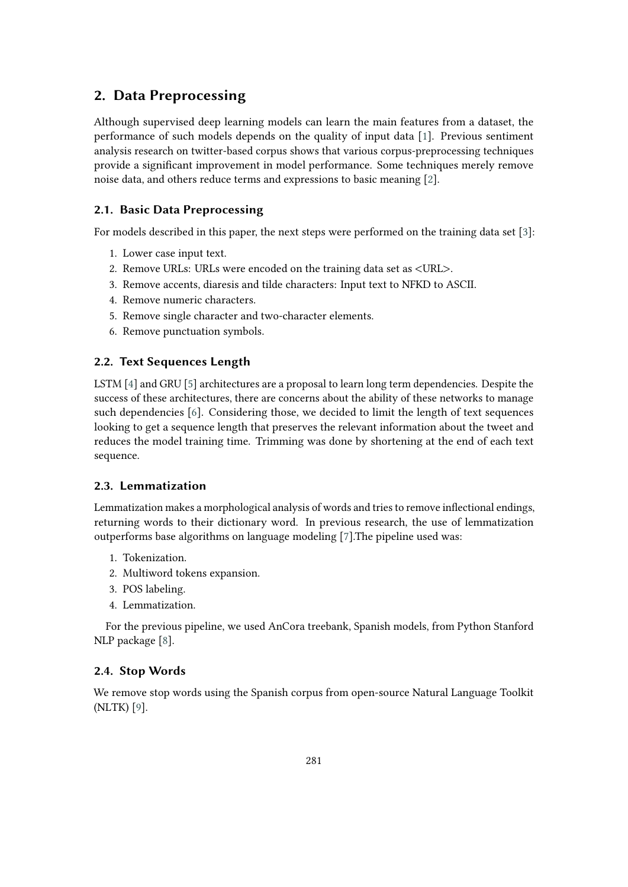# **2. Data Preprocessing**

Although supervised deep learning models can learn the main features from a dataset, the performance of such models depends on the quality of input data [\[1\]](#page-5-0). Previous sentiment analysis research on twitter-based corpus shows that various corpus-preprocessing techniques provide a significant improvement in model performance. Some techniques merely remove noise data, and others reduce terms and expressions to basic meaning [\[2\]](#page-5-1).

### **2.1. Basic Data Preprocessing**

For models described in this paper, the next steps were performed on the training data set [\[3\]](#page-5-2):

- 1. Lower case input text.
- 2. Remove URLs: URLs were encoded on the training data set as <URL>.
- 3. Remove accents, diaresis and tilde characters: Input text to NFKD to ASCII.
- 4. Remove numeric characters.
- 5. Remove single character and two-character elements.
- 6. Remove punctuation symbols.

### **2.2. Text Sequences Length**

LSTM [\[4\]](#page-5-3) and GRU [\[5\]](#page-5-4) architectures are a proposal to learn long term dependencies. Despite the success of these architectures, there are concerns about the ability of these networks to manage such dependencies [\[6\]](#page-5-5). Considering those, we decided to limit the length of text sequences looking to get a sequence length that preserves the relevant information about the tweet and reduces the model training time. Trimming was done by shortening at the end of each text sequence.

### **2.3. Lemmatization**

Lemmatization makes a morphological analysis of words and tries to remove inflectional endings, returning words to their dictionary word. In previous research, the use of lemmatization outperforms base algorithms on language modeling [\[7\]](#page-5-6).The pipeline used was:

- 1. Tokenization.
- 2. Multiword tokens expansion.
- 3. POS labeling.
- 4. Lemmatization.

For the previous pipeline, we used AnCora treebank, Spanish models, from Python Stanford NLP package [\[8\]](#page-5-7).

### **2.4. Stop Words**

We remove stop words using the Spanish corpus from open-source Natural Language Toolkit (NLTK) [\[9\]](#page-5-8).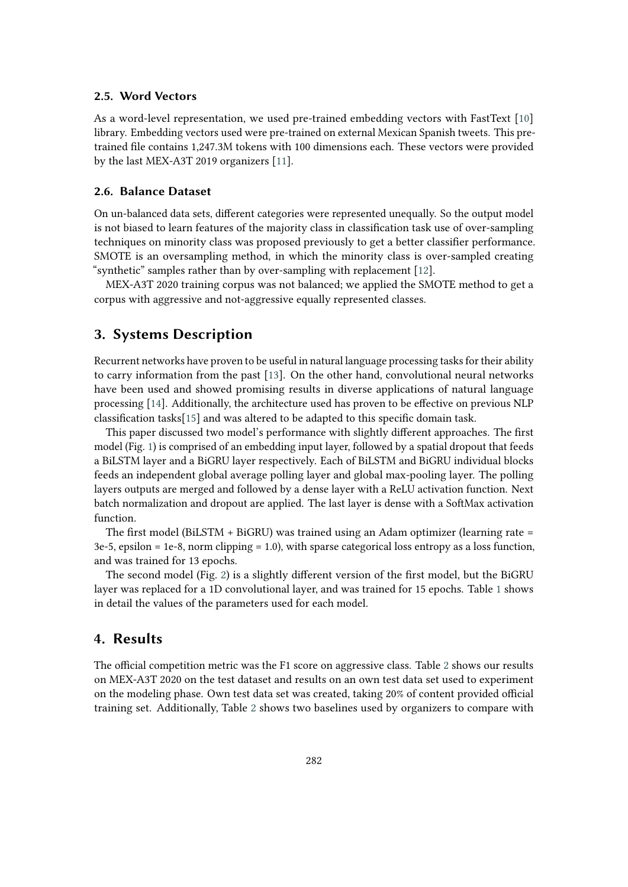#### **2.5. Word Vectors**

As a word-level representation, we used pre-trained embedding vectors with FastText [\[10\]](#page-5-9) library. Embedding vectors used were pre-trained on external Mexican Spanish tweets. This pretrained file contains 1,247.3M tokens with 100 dimensions each. These vectors were provided by the last MEX-A3T 2019 organizers [\[11\]](#page-5-10).

#### **2.6. Balance Dataset**

On un-balanced data sets, different categories were represented unequally. So the output model is not biased to learn features of the majority class in classification task use of over-sampling techniques on minority class was proposed previously to get a better classifier performance. SMOTE is an oversampling method, in which the minority class is over-sampled creating "synthetic" samples rather than by over-sampling with replacement [\[12\]](#page-5-11).

MEX-A3T 2020 training corpus was not balanced; we applied the SMOTE method to get a corpus with aggressive and not-aggressive equally represented classes.

### **3. Systems Description**

Recurrent networks have proven to be useful in natural language processing tasks for their ability to carry information from the past [\[13\]](#page-5-12). On the other hand, convolutional neural networks have been used and showed promising results in diverse applications of natural language processing [\[14\]](#page-5-13). Additionally, the architecture used has proven to be effective on previous NLP classification tasks[\[15\]](#page-6-0) and was altered to be adapted to this specific domain task.

This paper discussed two model's performance with slightly different approaches. The first model (Fig. [1\)](#page-3-0) is comprised of an embedding input layer, followed by a spatial dropout that feeds a BiLSTM layer and a BiGRU layer respectively. Each of BiLSTM and BiGRU individual blocks feeds an independent global average polling layer and global max-pooling layer. The polling layers outputs are merged and followed by a dense layer with a ReLU activation function. Next batch normalization and dropout are applied. The last layer is dense with a SoftMax activation function.

The first model (BiLSTM + BiGRU) was trained using an Adam optimizer (learning rate = 3e-5, epsilon = 1e-8, norm clipping = 1.0), with sparse categorical loss entropy as a loss function, and was trained for 13 epochs.

The second model (Fig. [2\)](#page-3-1) is a slightly different version of the first model, but the BiGRU layer was replaced for a 1D convolutional layer, and was trained for 15 epochs. Table [1](#page-4-0) shows in detail the values of the parameters used for each model.

### **4. Results**

The official competition metric was the F1 score on aggressive class. Table [2](#page-4-1) shows our results on MEX-A3T 2020 on the test dataset and results on an own test data set used to experiment on the modeling phase. Own test data set was created, taking 20% of content provided official training set. Additionally, Table [2](#page-4-1) shows two baselines used by organizers to compare with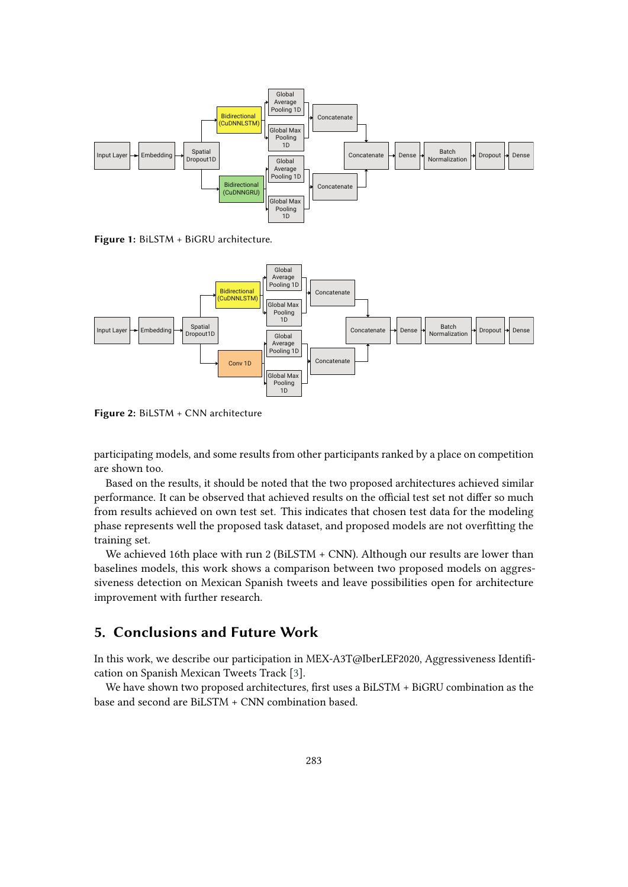

<span id="page-3-0"></span>**Figure 1:** BiLSTM + BiGRU architecture.



<span id="page-3-1"></span>**Figure 2:** BiLSTM + CNN architecture

participating models, and some results from other participants ranked by a place on competition are shown too.

Based on the results, it should be noted that the two proposed architectures achieved similar performance. It can be observed that achieved results on the official test set not differ so much from results achieved on own test set. This indicates that chosen test data for the modeling phase represents well the proposed task dataset, and proposed models are not overfitting the training set.

We achieved 16th place with run 2 (BiLSTM + CNN). Although our results are lower than baselines models, this work shows a comparison between two proposed models on aggressiveness detection on Mexican Spanish tweets and leave possibilities open for architecture improvement with further research.

# **5. Conclusions and Future Work**

In this work, we describe our participation in MEX-A3T@IberLEF2020, Aggressiveness Identification on Spanish Mexican Tweets Track [\[3\]](#page-5-2).

We have shown two proposed architectures, first uses a BiLSTM + BiGRU combination as the base and second are BiLSTM + CNN combination based.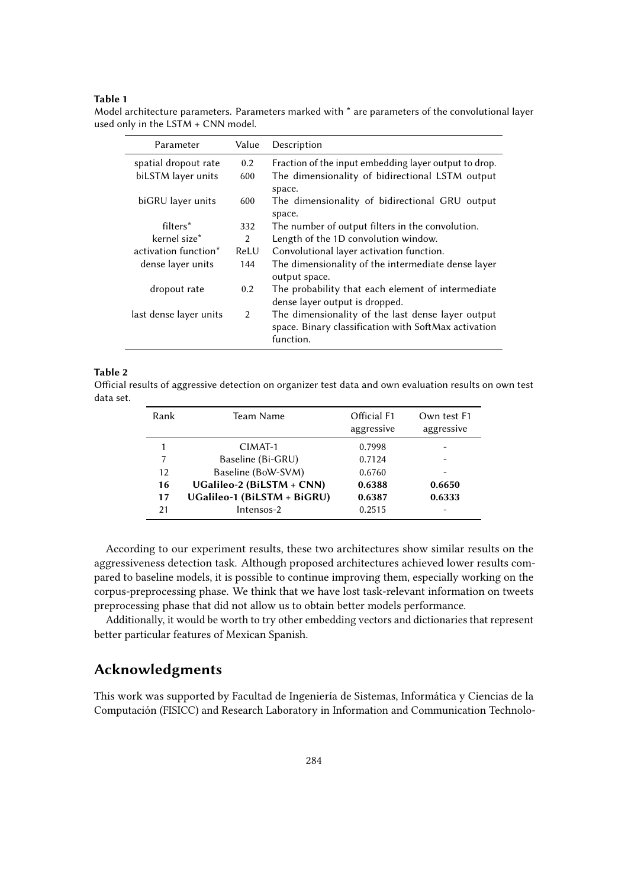#### **Table 1**

<span id="page-4-0"></span>Model architecture parameters. Parameters marked with \* are parameters of the convolutional layer used only in the LSTM + CNN model.

| Parameter              | Value         | Description                                                                                               |  |
|------------------------|---------------|-----------------------------------------------------------------------------------------------------------|--|
| spatial dropout rate   | $0.2^{\circ}$ | Fraction of the input embedding layer output to drop.                                                     |  |
| biLSTM layer units     | 600           | The dimensionality of bidirectional LSTM output                                                           |  |
|                        |               | space.                                                                                                    |  |
| biGRU layer units      | 600           | The dimensionality of bidirectional GRU output                                                            |  |
|                        |               | space.                                                                                                    |  |
| filters*               | 332           | The number of output filters in the convolution.                                                          |  |
| kernel size*           | 2             | Length of the 1D convolution window.                                                                      |  |
| activation function*   | ReLU          | Convolutional layer activation function.                                                                  |  |
| dense layer units      | 144           | The dimensionality of the intermediate dense layer                                                        |  |
|                        |               | output space.                                                                                             |  |
| dropout rate           | $0.2^{\circ}$ | The probability that each element of intermediate                                                         |  |
|                        |               | dense layer output is dropped.                                                                            |  |
| last dense layer units | $\mathcal{P}$ | The dimensionality of the last dense layer output<br>space. Binary classification with SoftMax activation |  |
|                        |               | function.                                                                                                 |  |
|                        |               |                                                                                                           |  |

#### **Table 2**

<span id="page-4-1"></span>Official results of aggressive detection on organizer test data and own evaluation results on own test data set.

| Rank | Team Name                   | Official F1<br>aggressive | Own test F1<br>aggressive |
|------|-----------------------------|---------------------------|---------------------------|
|      | CIMAT-1                     | 0.7998                    |                           |
| 7    | Baseline (Bi-GRU)           | 0.7124                    |                           |
| 12   | Baseline (BoW-SVM)          | 0.6760                    |                           |
| 16   | UGalileo-2 (BiLSTM + CNN)   | 0.6388                    | 0.6650                    |
| 17   | UGalileo-1 (BiLSTM + BiGRU) | 0.6387                    | 0.6333                    |
| 21   | Intensos-2                  | 0.2515                    |                           |

According to our experiment results, these two architectures show similar results on the aggressiveness detection task. Although proposed architectures achieved lower results compared to baseline models, it is possible to continue improving them, especially working on the corpus-preprocessing phase. We think that we have lost task-relevant information on tweets preprocessing phase that did not allow us to obtain better models performance.

Additionally, it would be worth to try other embedding vectors and dictionaries that represent better particular features of Mexican Spanish.

# **Acknowledgments**

This work was supported by Facultad de Ingeniería de Sistemas, Informática y Ciencias de la Computación (FISICC) and Research Laboratory in Information and Communication Technolo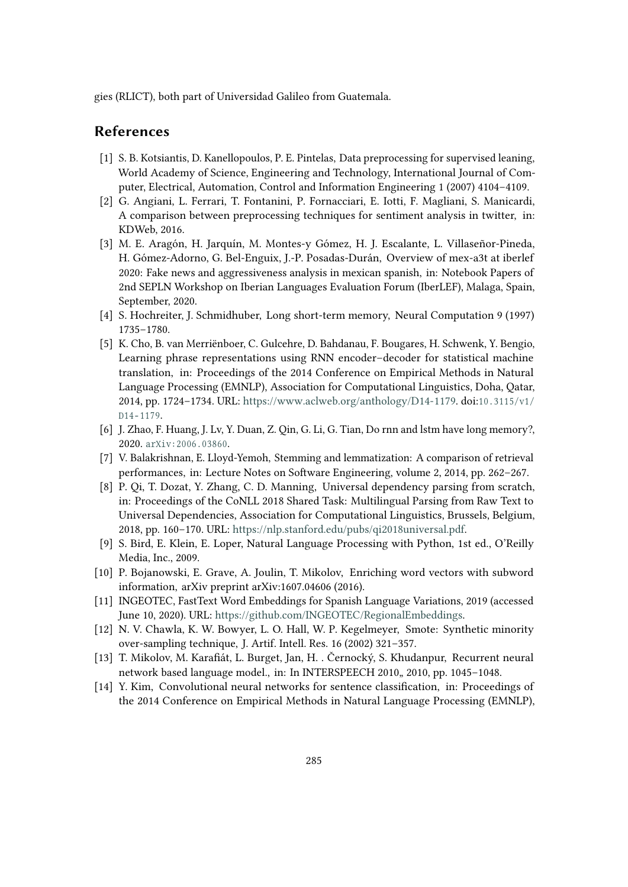gies (RLICT), both part of Universidad Galileo from Guatemala.

### **References**

- <span id="page-5-0"></span>[1] S. B. Kotsiantis, D. Kanellopoulos, P. E. Pintelas, Data preprocessing for supervised leaning, World Academy of Science, Engineering and Technology, International Journal of Computer, Electrical, Automation, Control and Information Engineering 1 (2007) 4104–4109.
- <span id="page-5-1"></span>[2] G. Angiani, L. Ferrari, T. Fontanini, P. Fornacciari, E. Iotti, F. Magliani, S. Manicardi, A comparison between preprocessing techniques for sentiment analysis in twitter, in: KDWeb, 2016.
- <span id="page-5-2"></span>[3] M. E. Aragón, H. Jarquín, M. Montes-y Gómez, H. J. Escalante, L. Villaseñor-Pineda, H. Gómez-Adorno, G. Bel-Enguix, J.-P. Posadas-Durán, Overview of mex-a3t at iberlef 2020: Fake news and aggressiveness analysis in mexican spanish, in: Notebook Papers of 2nd SEPLN Workshop on Iberian Languages Evaluation Forum (IberLEF), Malaga, Spain, September, 2020.
- <span id="page-5-3"></span>[4] S. Hochreiter, J. Schmidhuber, Long short-term memory, Neural Computation 9 (1997) 1735–1780.
- <span id="page-5-4"></span>[5] K. Cho, B. van Merriënboer, C. Gulcehre, D. Bahdanau, F. Bougares, H. Schwenk, Y. Bengio, Learning phrase representations using RNN encoder–decoder for statistical machine translation, in: Proceedings of the 2014 Conference on Empirical Methods in Natural Language Processing (EMNLP), Association for Computational Linguistics, Doha, Qatar, 2014, pp. 1724–1734. URL: [https://www.aclweb.org/anthology/D14-1179.](https://www.aclweb.org/anthology/D14-1179) doi:10.3115/v1/ D<sub>14</sub>-1179.
- <span id="page-5-5"></span>[6] J. Zhao, F. Huang, J. Lv, Y. Duan, Z. Qin, G. Li, G. Tian, Do rnn and lstm have long memory?, 2020. arXiv: 2006.03860.
- <span id="page-5-6"></span>[7] V. Balakrishnan, E. Lloyd-Yemoh, Stemming and lemmatization: A comparison of retrieval performances, in: Lecture Notes on Software Engineering, volume 2, 2014, pp. 262–267.
- <span id="page-5-7"></span>[8] P. Qi, T. Dozat, Y. Zhang, C. D. Manning, Universal dependency parsing from scratch, in: Proceedings of the CoNLL 2018 Shared Task: Multilingual Parsing from Raw Text to Universal Dependencies, Association for Computational Linguistics, Brussels, Belgium, 2018, pp. 160–170. URL: [https://nlp.stanford.edu/pubs/qi2018universal.pdf.](https://nlp.stanford.edu/pubs/qi2018universal.pdf)
- <span id="page-5-8"></span>[9] S. Bird, E. Klein, E. Loper, Natural Language Processing with Python, 1st ed., O'Reilly Media, Inc., 2009.
- <span id="page-5-9"></span>[10] P. Bojanowski, E. Grave, A. Joulin, T. Mikolov, Enriching word vectors with subword information, arXiv preprint arXiv:1607.04606 (2016).
- <span id="page-5-10"></span>[11] INGEOTEC, FastText Word Embeddings for Spanish Language Variations, 2019 (accessed June 10, 2020). URL: [https://github.com/INGEOTEC/RegionalEmbeddings.](https://github.com/INGEOTEC/RegionalEmbeddings)
- <span id="page-5-11"></span>[12] N. V. Chawla, K. W. Bowyer, L. O. Hall, W. P. Kegelmeyer, Smote: Synthetic minority over-sampling technique, J. Artif. Intell. Res. 16 (2002) 321–357.
- <span id="page-5-12"></span>[13] T. Mikolov, M. Karafiát, L. Burget, Jan, H. . Černocký, S. Khudanpur, Recurrent neural network based language model., in: In INTERSPEECH 2010, 2010, pp. 1045-1048.
- <span id="page-5-13"></span>[14] Y. Kim, Convolutional neural networks for sentence classification, in: Proceedings of the 2014 Conference on Empirical Methods in Natural Language Processing (EMNLP),